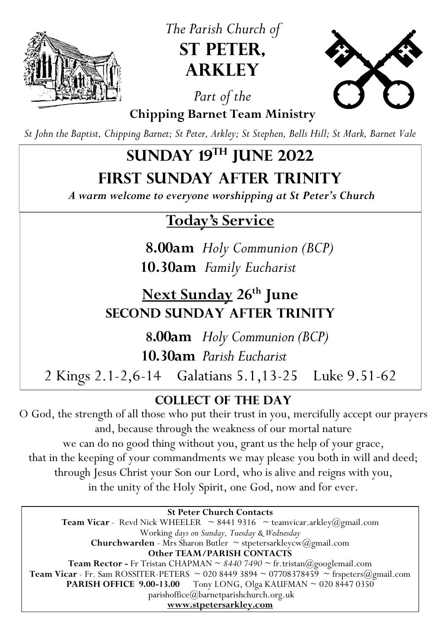

*The Parish Church of*  **St Peter, Arkley**



*Part of the*  **Chipping Barnet Team Ministry**

*St John the Baptist, Chipping Barnet; St Peter, Arkley; St Stephen, Bells Hill; St Mark, Barnet Vale*

# **Sunday 19th June 2022**

# **First Sunday after Trinity**

*A warm welcome to everyone worshipping at St Peter's Church*

## **Today's Service**

 **8.00am** *Holy Communion (BCP)* **10.30am** *Family Eucharist*

**Next Sunday 26th June Second Sunday after Trinity**

 **8.00am** *Holy Communion (BCP)*

 **10.30am** *Parish Eucharist*

2 Kings 2.1-2,6-14 Galatians 5.1,13-25 Luke 9.51-62

## **Collect of the Day**

O God, the strength of all those who put their trust in you, mercifully accept our prayers and, because through the weakness of our mortal nature we can do no good thing without you, grant us the help of your grace, that in the keeping of your commandments we may please you both in will and deed; through Jesus Christ your Son our Lord, who is alive and reigns with you, in the unity of the Holy Spirit, one God, now and for ever.

**St Peter Church Contacts Team Vicar** - Revd Nick WHEELER  $\sim$  8441 9316  $\sim$  teamvicar.arkley@gmail.com Working *days on Sunday, Tuesday & Wednesday* **Churchwarden** - Mrs Sharon Butler ~ stpetersarkleycw@gmail.com **Other TEAM/PARISH CONTACTS Team Rector -** Fr Tristan CHAPMAN ~ *8440 7490* ~ fr.tristan@googlemail.com **Team Vicar** - Fr. Sam ROSSITER-PETERS  $\sim$  020 8449 3894  $\sim$  07708378459  $\sim$  frspeters( $\omega$ gmail.com **PARISH OFFICE 9.00-13.00** Tony LONG, Olga KAUFMAN ~ 020 8447 0350 parishoffice@barnetparishchurch.org.uk **[www.stpetersarkley.com](https://www.stpetersarkley.com/)**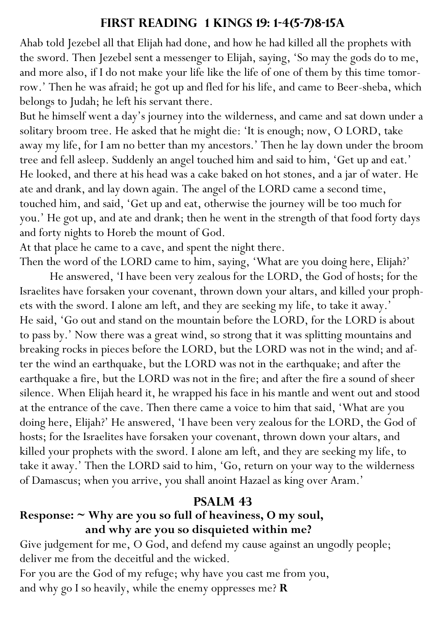#### **First Reading 1 Kings 19: 1-4(5-7)8-15a**

Ahab told Jezebel all that Elijah had done, and how he had killed all the prophets with the sword. Then Jezebel sent a messenger to Elijah, saying, 'So may the gods do to me, and more also, if I do not make your life like the life of one of them by this time tomorrow.' Then he was afraid; he got up and fled for his life, and came to Beer-sheba, which belongs to Judah; he left his servant there.

But he himself went a day's journey into the wilderness, and came and sat down under a solitary broom tree. He asked that he might die: 'It is enough; now, O LORD, take away my life, for I am no better than my ancestors.' Then he lay down under the broom tree and fell asleep. Suddenly an angel touched him and said to him, 'Get up and eat.' He looked, and there at his head was a cake baked on hot stones, and a jar of water. He ate and drank, and lay down again. The angel of the LORD came a second time, touched him, and said, 'Get up and eat, otherwise the journey will be too much for you.' He got up, and ate and drank; then he went in the strength of that food forty days and forty nights to Horeb the mount of God.

At that place he came to a cave, and spent the night there.

Then the word of the LORD came to him, saying, 'What are you doing here, Elijah?'

He answered, 'I have been very zealous for the LORD, the God of hosts; for the Israelites have forsaken your covenant, thrown down your altars, and killed your prophets with the sword. I alone am left, and they are seeking my life, to take it away.' He said, 'Go out and stand on the mountain before the LORD, for the LORD is about to pass by.' Now there was a great wind, so strong that it was splitting mountains and breaking rocks in pieces before the LORD, but the LORD was not in the wind; and after the wind an earthquake, but the LORD was not in the earthquake; and after the earthquake a fire, but the LORD was not in the fire; and after the fire a sound of sheer silence. When Elijah heard it, he wrapped his face in his mantle and went out and stood at the entrance of the cave. Then there came a voice to him that said, 'What are you doing here, Elijah?' He answered, 'I have been very zealous for the LORD, the God of hosts; for the Israelites have forsaken your covenant, thrown down your altars, and killed your prophets with the sword. I alone am left, and they are seeking my life, to take it away.' Then the LORD said to him, 'Go, return on your way to the wilderness of Damascus; when you arrive, you shall anoint Hazael as king over Aram.'

#### **Psalm 43**

#### **Response: ~ Why are you so full of heaviness, O my soul, and why are you so disquieted within me?**

Give judgement for me, O God, and defend my cause against an ungodly people; deliver me from the deceitful and the wicked.

For you are the God of my refuge; why have you cast me from you,

and why go I so heavily, while the enemy oppresses me? **R**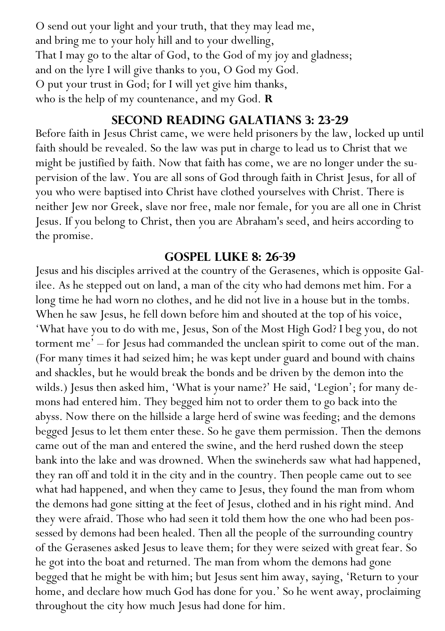O send out your light and your truth, that they may lead me, and bring me to your holy hill and to your dwelling, That I may go to the altar of God, to the God of my joy and gladness; and on the lyre I will give thanks to you, O God my God. O put your trust in God; for I will yet give him thanks, who is the help of my countenance, and my God. **R**

#### **Second Reading Galatians 3: 23-29**

Before faith in Jesus Christ came, we were held prisoners by the law, locked up until faith should be revealed. So the law was put in charge to lead us to Christ that we might be justified by faith. Now that faith has come, we are no longer under the supervision of the law. You are all sons of God through faith in Christ Jesus, for all of you who were baptised into Christ have clothed yourselves with Christ. There is neither Jew nor Greek, slave nor free, male nor female, for you are all one in Christ Jesus. If you belong to Christ, then you are Abraham's seed, and heirs according to the promise.

#### **Gospel Luke 8: 26-39**

Jesus and his disciples arrived at the country of the Gerasenes, which is opposite Galilee. As he stepped out on land, a man of the city who had demons met him. For a long time he had worn no clothes, and he did not live in a house but in the tombs. When he saw Jesus, he fell down before him and shouted at the top of his voice, 'What have you to do with me, Jesus, Son of the Most High God? I beg you, do not torment me' – for Jesus had commanded the unclean spirit to come out of the man. (For many times it had seized him; he was kept under guard and bound with chains and shackles, but he would break the bonds and be driven by the demon into the wilds.) Jesus then asked him, 'What is your name?' He said, 'Legion'; for many demons had entered him. They begged him not to order them to go back into the abyss. Now there on the hillside a large herd of swine was feeding; and the demons begged Jesus to let them enter these. So he gave them permission. Then the demons came out of the man and entered the swine, and the herd rushed down the steep bank into the lake and was drowned. When the swineherds saw what had happened, they ran off and told it in the city and in the country. Then people came out to see what had happened, and when they came to Jesus, they found the man from whom the demons had gone sitting at the feet of Jesus, clothed and in his right mind. And they were afraid. Those who had seen it told them how the one who had been possessed by demons had been healed. Then all the people of the surrounding country of the Gerasenes asked Jesus to leave them; for they were seized with great fear. So he got into the boat and returned. The man from whom the demons had gone begged that he might be with him; but Jesus sent him away, saying, 'Return to your home, and declare how much God has done for you.' So he went away, proclaiming throughout the city how much Jesus had done for him.